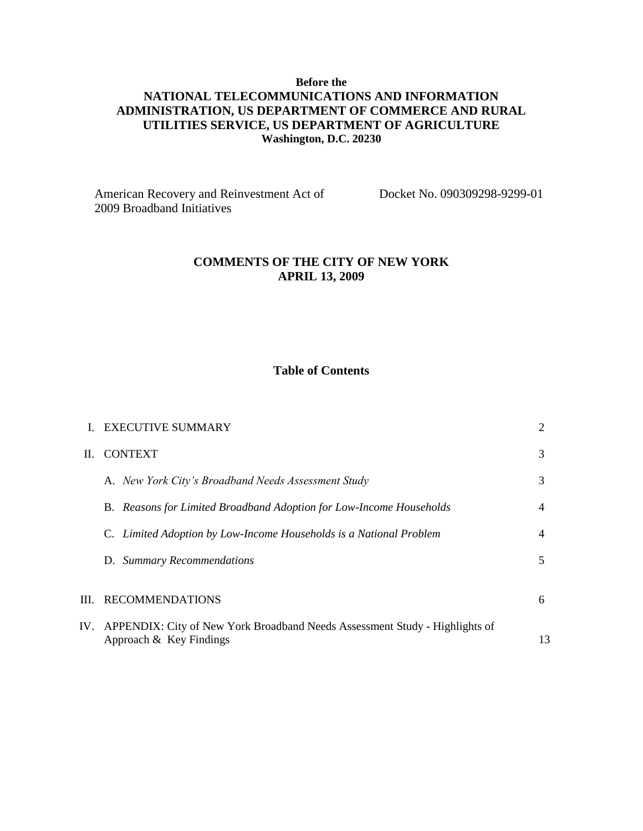## **Before the NATIONAL TELECOMMUNICATIONS AND INFORMATION ADMINISTRATION, US DEPARTMENT OF COMMERCE AND RURAL UTILITIES SERVICE, US DEPARTMENT OF AGRICULTURE Washington, D.C. 20230**

American Recovery and Reinvestment Act of Docket No. 090309298-9299-01 2009 Broadband Initiatives

### **COMMENTS OF THE CITY OF NEW YORK APRIL 13, 2009**

## **Table of Contents**

|    | <b>EXECUTIVE SUMMARY</b>                                                                                   |    |
|----|------------------------------------------------------------------------------------------------------------|----|
| H. | <b>CONTEXT</b>                                                                                             | 3  |
|    | A. New York City's Broadband Needs Assessment Study                                                        | 3  |
|    | B. Reasons for Limited Broadband Adoption for Low-Income Households                                        | 4  |
|    | Limited Adoption by Low-Income Households is a National Problem                                            | 4  |
|    | D. Summary Recommendations                                                                                 | 5  |
|    | III. RECOMMENDATIONS                                                                                       | 6  |
|    |                                                                                                            |    |
|    | IV. APPENDIX: City of New York Broadband Needs Assessment Study - Highlights of<br>Approach & Key Findings | 13 |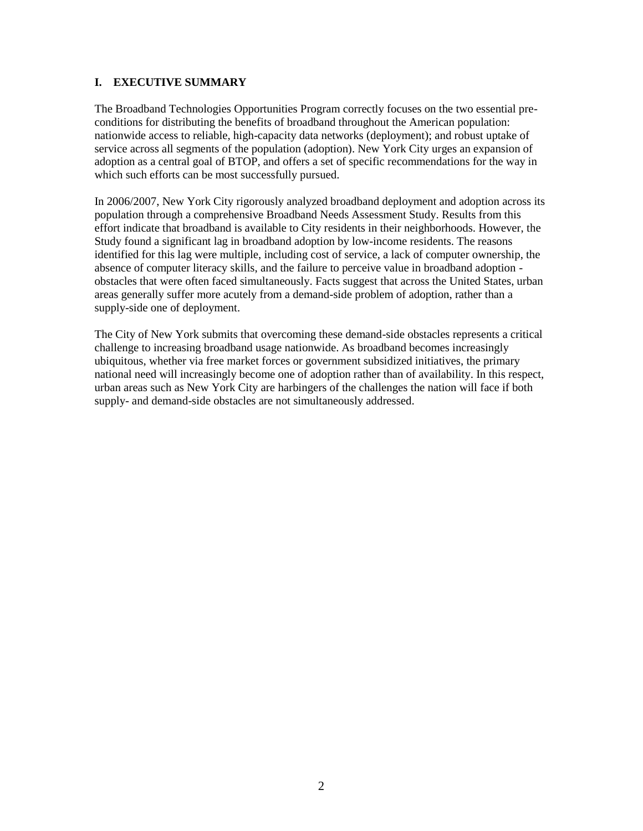### **I. EXECUTIVE SUMMARY**

The Broadband Technologies Opportunities Program correctly focuses on the two essential preconditions for distributing the benefits of broadband throughout the American population: nationwide access to reliable, high-capacity data networks (deployment); and robust uptake of service across all segments of the population (adoption). New York City urges an expansion of adoption as a central goal of BTOP, and offers a set of specific recommendations for the way in which such efforts can be most successfully pursued.

In 2006/2007, New York City rigorously analyzed broadband deployment and adoption across its population through a comprehensive Broadband Needs Assessment Study. Results from this effort indicate that broadband is available to City residents in their neighborhoods. However, the Study found a significant lag in broadband adoption by low-income residents. The reasons identified for this lag were multiple, including cost of service, a lack of computer ownership, the absence of computer literacy skills, and the failure to perceive value in broadband adoption obstacles that were often faced simultaneously. Facts suggest that across the United States, urban areas generally suffer more acutely from a demand-side problem of adoption, rather than a supply-side one of deployment.

The City of New York submits that overcoming these demand-side obstacles represents a critical challenge to increasing broadband usage nationwide. As broadband becomes increasingly ubiquitous, whether via free market forces or government subsidized initiatives, the primary national need will increasingly become one of adoption rather than of availability. In this respect, urban areas such as New York City are harbingers of the challenges the nation will face if both supply- and demand-side obstacles are not simultaneously addressed.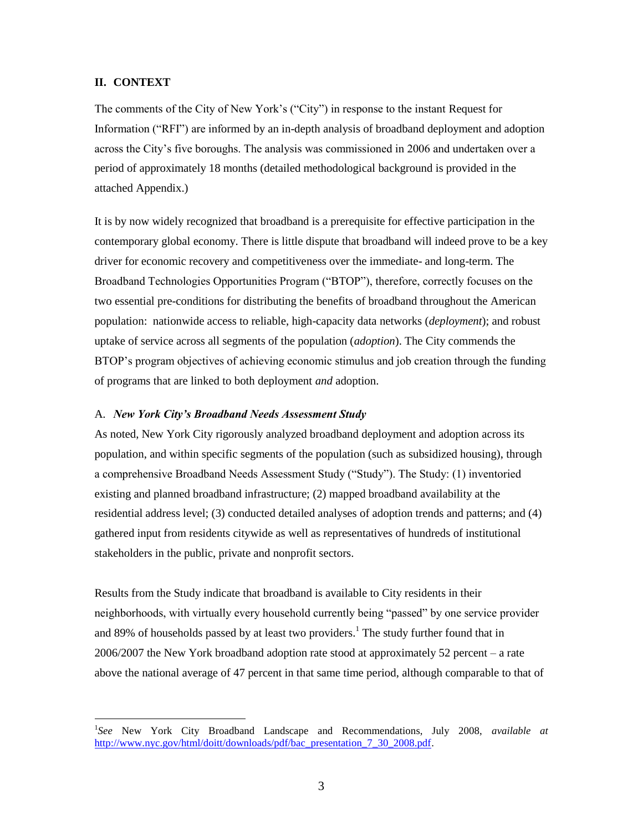#### **II. CONTEXT**

 $\overline{a}$ 

The comments of the City of New York's ("City") in response to the instant Request for Information ("RFI") are informed by an in-depth analysis of broadband deployment and adoption across the City's five boroughs. The analysis was commissioned in 2006 and undertaken over a period of approximately 18 months (detailed methodological background is provided in the attached Appendix.)

It is by now widely recognized that broadband is a prerequisite for effective participation in the contemporary global economy. There is little dispute that broadband will indeed prove to be a key driver for economic recovery and competitiveness over the immediate- and long-term. The Broadband Technologies Opportunities Program ("BTOP"), therefore, correctly focuses on the two essential pre-conditions for distributing the benefits of broadband throughout the American population: nationwide access to reliable, high-capacity data networks (*deployment*); and robust uptake of service across all segments of the population (*adoption*). The City commends the BTOP's program objectives of achieving economic stimulus and job creation through the funding of programs that are linked to both deployment *and* adoption.

#### A. *New York City's Broadband Needs Assessment Study*

As noted, New York City rigorously analyzed broadband deployment and adoption across its population, and within specific segments of the population (such as subsidized housing), through a comprehensive Broadband Needs Assessment Study ("Study"). The Study: (1) inventoried existing and planned broadband infrastructure; (2) mapped broadband availability at the residential address level; (3) conducted detailed analyses of adoption trends and patterns; and (4) gathered input from residents citywide as well as representatives of hundreds of institutional stakeholders in the public, private and nonprofit sectors.

Results from the Study indicate that broadband is available to City residents in their neighborhoods, with virtually every household currently being "passed" by one service provider and 89% of households passed by at least two providers.<sup>1</sup> The study further found that in 2006/2007 the New York broadband adoption rate stood at approximately 52 percent – a rate above the national average of 47 percent in that same time period, although comparable to that of

<sup>1</sup> *See* New York City Broadband Landscape and Recommendations, July 2008, *available at*  [http://www.nyc.gov/html/doitt/downloads/pdf/bac\\_presentation\\_7\\_30\\_2008.pdf.](http://www.nyc.gov/html/doitt/downloads/pdf/bac_presentation_7_30_2008.pdf)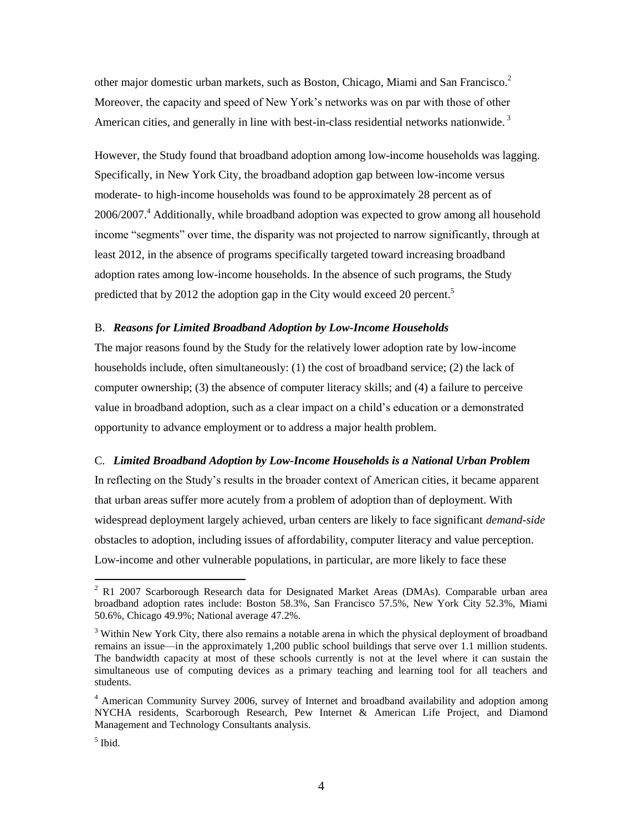other major domestic urban markets, such as Boston, Chicago, Miami and San Francisco. $^2$ Moreover, the capacity and speed of New York's networks was on par with those of other American cities, and generally in line with best-in-class residential networks nationwide.<sup>3</sup>

However, the Study found that broadband adoption among low-income households was lagging. Specifically, in New York City, the broadband adoption gap between low-income versus moderate- to high-income households was found to be approximately 28 percent as of 2006/2007.<sup>4</sup> Additionally, while broadband adoption was expected to grow among all household income "segments" over time, the disparity was not projected to narrow significantly, through at least 2012, in the absence of programs specifically targeted toward increasing broadband adoption rates among low-income households. In the absence of such programs, the Study predicted that by 2012 the adoption gap in the City would exceed 20 percent.<sup>5</sup>

#### B. *Reasons for Limited Broadband Adoption by Low-Income Households*

The major reasons found by the Study for the relatively lower adoption rate by low-income households include, often simultaneously: (1) the cost of broadband service; (2) the lack of computer ownership; (3) the absence of computer literacy skills; and (4) a failure to perceive value in broadband adoption, such as a clear impact on a child's education or a demonstrated opportunity to advance employment or to address a major health problem.

#### C. *Limited Broadband Adoption by Low-Income Households is a National Urban Problem*

In reflecting on the Study's results in the broader context of American cities, it became apparent that urban areas suffer more acutely from a problem of adoption than of deployment. With widespread deployment largely achieved, urban centers are likely to face significant *demand-side* obstacles to adoption, including issues of affordability, computer literacy and value perception. Low-income and other vulnerable populations, in particular, are more likely to face these

 $\overline{a}$ 

 $2$  R1 2007 Scarborough Research data for Designated Market Areas (DMAs). Comparable urban area broadband adoption rates include: Boston 58.3%, San Francisco 57.5%, New York City 52.3%, Miami 50.6%, Chicago 49.9%; National average 47.2%.

<sup>&</sup>lt;sup>3</sup> Within New York City, there also remains a notable arena in which the physical deployment of broadband remains an issue—in the approximately 1,200 public school buildings that serve over 1.1 million students. The bandwidth capacity at most of these schools currently is not at the level where it can sustain the simultaneous use of computing devices as a primary teaching and learning tool for all teachers and students.

<sup>4</sup> American Community Survey 2006, survey of Internet and broadband availability and adoption among NYCHA residents, Scarborough Research, Pew Internet & American Life Project, and Diamond Management and Technology Consultants analysis.

<sup>5</sup> Ibid.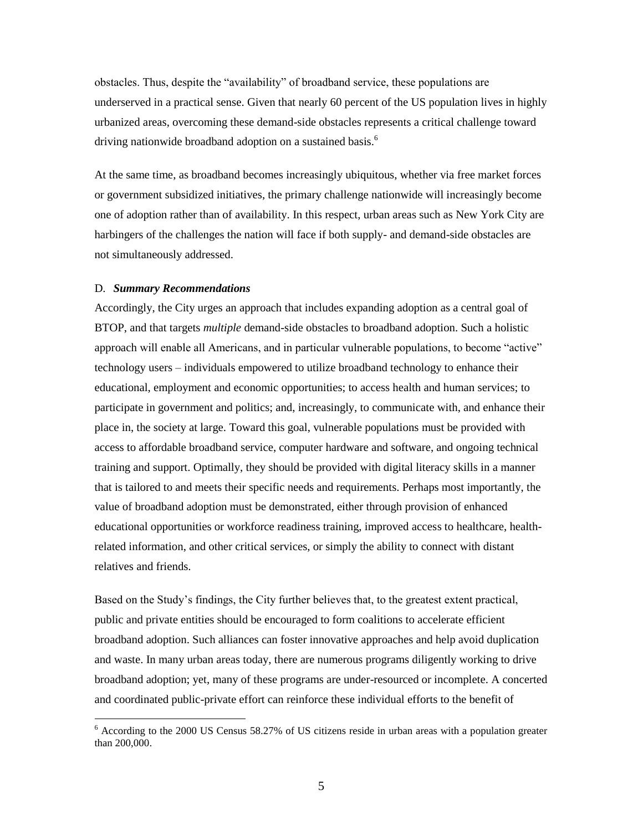obstacles. Thus, despite the "availability" of broadband service, these populations are underserved in a practical sense. Given that nearly 60 percent of the US population lives in highly urbanized areas, overcoming these demand-side obstacles represents a critical challenge toward driving nationwide broadband adoption on a sustained basis.<sup>6</sup>

At the same time, as broadband becomes increasingly ubiquitous, whether via free market forces or government subsidized initiatives, the primary challenge nationwide will increasingly become one of adoption rather than of availability. In this respect, urban areas such as New York City are harbingers of the challenges the nation will face if both supply- and demand-side obstacles are not simultaneously addressed.

#### D. *Summary Recommendations*

 $\overline{a}$ 

Accordingly, the City urges an approach that includes expanding adoption as a central goal of BTOP, and that targets *multiple* demand-side obstacles to broadband adoption. Such a holistic approach will enable all Americans, and in particular vulnerable populations, to become "active" technology users – individuals empowered to utilize broadband technology to enhance their educational, employment and economic opportunities; to access health and human services; to participate in government and politics; and, increasingly, to communicate with, and enhance their place in, the society at large. Toward this goal, vulnerable populations must be provided with access to affordable broadband service, computer hardware and software, and ongoing technical training and support. Optimally, they should be provided with digital literacy skills in a manner that is tailored to and meets their specific needs and requirements. Perhaps most importantly, the value of broadband adoption must be demonstrated, either through provision of enhanced educational opportunities or workforce readiness training, improved access to healthcare, healthrelated information, and other critical services, or simply the ability to connect with distant relatives and friends.

Based on the Study's findings, the City further believes that, to the greatest extent practical, public and private entities should be encouraged to form coalitions to accelerate efficient broadband adoption. Such alliances can foster innovative approaches and help avoid duplication and waste. In many urban areas today, there are numerous programs diligently working to drive broadband adoption; yet, many of these programs are under-resourced or incomplete. A concerted and coordinated public-private effort can reinforce these individual efforts to the benefit of

 $6$  According to the 2000 US Census 58.27% of US citizens reside in urban areas with a population greater than 200,000.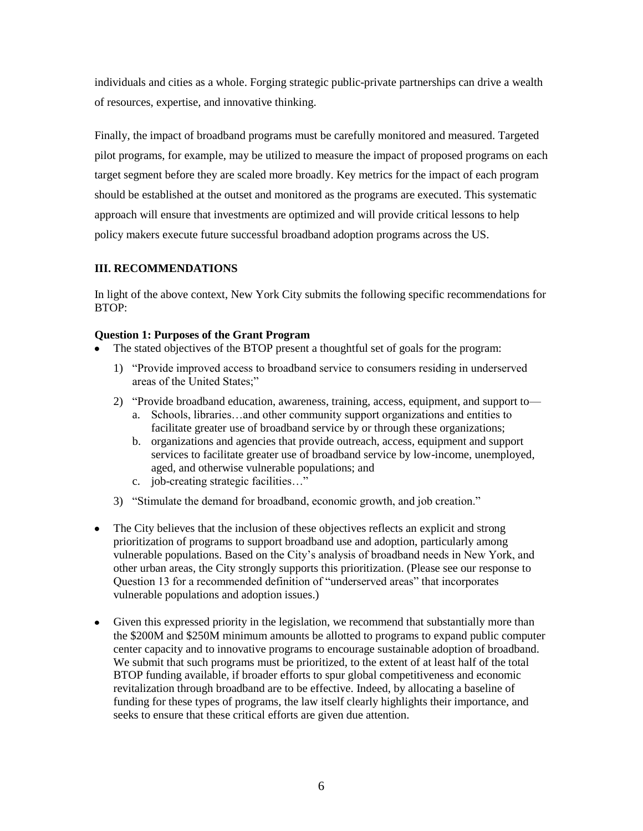individuals and cities as a whole. Forging strategic public-private partnerships can drive a wealth of resources, expertise, and innovative thinking.

Finally, the impact of broadband programs must be carefully monitored and measured. Targeted pilot programs, for example, may be utilized to measure the impact of proposed programs on each target segment before they are scaled more broadly. Key metrics for the impact of each program should be established at the outset and monitored as the programs are executed. This systematic approach will ensure that investments are optimized and will provide critical lessons to help policy makers execute future successful broadband adoption programs across the US.

## **III. RECOMMENDATIONS**

In light of the above context, New York City submits the following specific recommendations for BTOP:

### **Question 1: Purposes of the Grant Program**

- The stated objectives of the BTOP present a thoughtful set of goals for the program:
	- 1) "Provide improved access to broadband service to consumers residing in underserved areas of the United States;"
	- 2) "Provide broadband education, awareness, training, access, equipment, and support to
		- a. Schools, libraries…and other community support organizations and entities to facilitate greater use of broadband service by or through these organizations;
		- b. organizations and agencies that provide outreach, access, equipment and support services to facilitate greater use of broadband service by low-income, unemployed, aged, and otherwise vulnerable populations; and
		- c. job-creating strategic facilities..."
	- 3) "Stimulate the demand for broadband, economic growth, and job creation."
- The City believes that the inclusion of these objectives reflects an explicit and strong  $\bullet$ prioritization of programs to support broadband use and adoption, particularly among vulnerable populations. Based on the City's analysis of broadband needs in New York, and other urban areas, the City strongly supports this prioritization. (Please see our response to Question 13 for a recommended definition of "underserved areas" that incorporates vulnerable populations and adoption issues.)
- Given this expressed priority in the legislation, we recommend that substantially more than the \$200M and \$250M minimum amounts be allotted to programs to expand public computer center capacity and to innovative programs to encourage sustainable adoption of broadband. We submit that such programs must be prioritized, to the extent of at least half of the total BTOP funding available, if broader efforts to spur global competitiveness and economic revitalization through broadband are to be effective. Indeed, by allocating a baseline of funding for these types of programs, the law itself clearly highlights their importance, and seeks to ensure that these critical efforts are given due attention.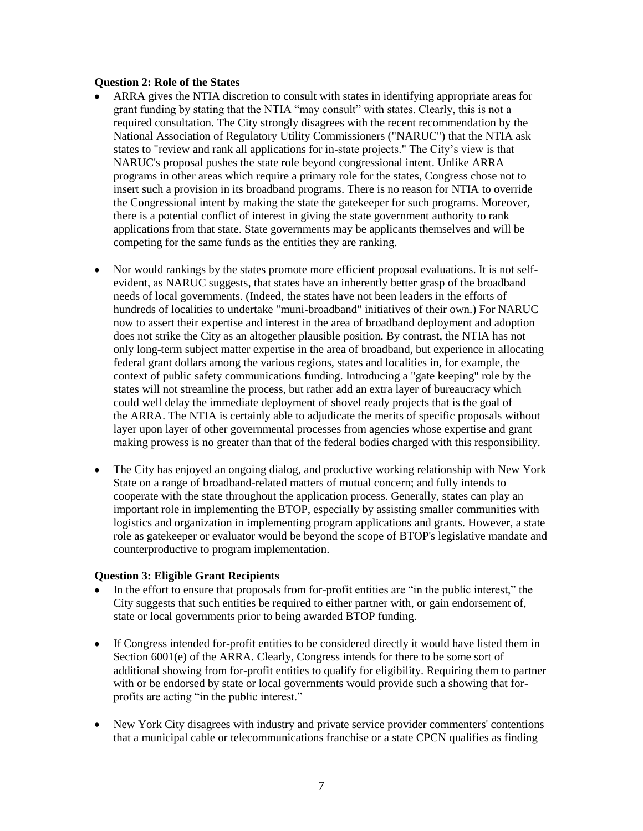#### **Question 2: Role of the States**

- ARRA gives the NTIA discretion to consult with states in identifying appropriate areas for grant funding by stating that the NTIA "may consult" with states. Clearly, this is not a required consultation. The City strongly disagrees with the recent recommendation by the National Association of Regulatory Utility Commissioners ("NARUC") that the NTIA ask states to "review and rank all applications for in-state projects." The City's view is that NARUC's proposal pushes the state role beyond congressional intent. Unlike ARRA programs in other areas which require a primary role for the states, Congress chose not to insert such a provision in its broadband programs. There is no reason for NTIA to override the Congressional intent by making the state the gatekeeper for such programs. Moreover, there is a potential conflict of interest in giving the state government authority to rank applications from that state. State governments may be applicants themselves and will be competing for the same funds as the entities they are ranking.
- Nor would rankings by the states promote more efficient proposal evaluations. It is not selfevident, as NARUC suggests, that states have an inherently better grasp of the broadband needs of local governments. (Indeed, the states have not been leaders in the efforts of hundreds of localities to undertake "muni-broadband" initiatives of their own.) For NARUC now to assert their expertise and interest in the area of broadband deployment and adoption does not strike the City as an altogether plausible position. By contrast, the NTIA has not only long-term subject matter expertise in the area of broadband, but experience in allocating federal grant dollars among the various regions, states and localities in, for example, the context of public safety communications funding. Introducing a "gate keeping" role by the states will not streamline the process, but rather add an extra layer of bureaucracy which could well delay the immediate deployment of shovel ready projects that is the goal of the ARRA. The NTIA is certainly able to adjudicate the merits of specific proposals without layer upon layer of other governmental processes from agencies whose expertise and grant making prowess is no greater than that of the federal bodies charged with this responsibility.
- The City has enjoyed an ongoing dialog, and productive working relationship with New York State on a range of broadband-related matters of mutual concern; and fully intends to cooperate with the state throughout the application process. Generally, states can play an important role in implementing the BTOP, especially by assisting smaller communities with logistics and organization in implementing program applications and grants. However, a state role as gatekeeper or evaluator would be beyond the scope of BTOP's legislative mandate and counterproductive to program implementation.

### **Question 3: Eligible Grant Recipients**

- In the effort to ensure that proposals from for-profit entities are "in the public interest," the City suggests that such entities be required to either partner with, or gain endorsement of, state or local governments prior to being awarded BTOP funding.
- $\bullet$ If Congress intended for-profit entities to be considered directly it would have listed them in Section 6001(e) of the ARRA. Clearly, Congress intends for there to be some sort of additional showing from for-profit entities to qualify for eligibility. Requiring them to partner with or be endorsed by state or local governments would provide such a showing that forprofits are acting "in the public interest."
- New York City disagrees with industry and private service provider commenters' contentions  $\bullet$ that a municipal cable or telecommunications franchise or a state CPCN qualifies as finding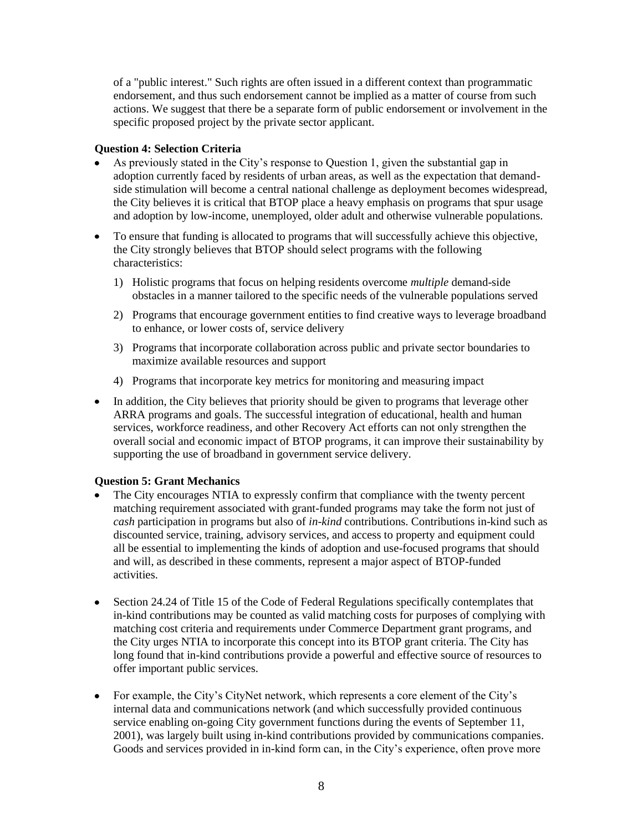of a "public interest." Such rights are often issued in a different context than programmatic endorsement, and thus such endorsement cannot be implied as a matter of course from such actions. We suggest that there be a separate form of public endorsement or involvement in the specific proposed project by the private sector applicant.

### **Question 4: Selection Criteria**

- As previously stated in the City's response to Question 1, given the substantial gap in adoption currently faced by residents of urban areas, as well as the expectation that demandside stimulation will become a central national challenge as deployment becomes widespread, the City believes it is critical that BTOP place a heavy emphasis on programs that spur usage and adoption by low-income, unemployed, older adult and otherwise vulnerable populations.
- To ensure that funding is allocated to programs that will successfully achieve this objective, the City strongly believes that BTOP should select programs with the following characteristics:
	- 1) Holistic programs that focus on helping residents overcome *multiple* demand-side obstacles in a manner tailored to the specific needs of the vulnerable populations served
	- 2) Programs that encourage government entities to find creative ways to leverage broadband to enhance, or lower costs of, service delivery
	- 3) Programs that incorporate collaboration across public and private sector boundaries to maximize available resources and support
	- 4) Programs that incorporate key metrics for monitoring and measuring impact
- In addition, the City believes that priority should be given to programs that leverage other ARRA programs and goals. The successful integration of educational, health and human services, workforce readiness, and other Recovery Act efforts can not only strengthen the overall social and economic impact of BTOP programs, it can improve their sustainability by supporting the use of broadband in government service delivery.

### **Question 5: Grant Mechanics**

- The City encourages NTIA to expressly confirm that compliance with the twenty percent matching requirement associated with grant-funded programs may take the form not just of *cash* participation in programs but also of *in-kind* contributions. Contributions in-kind such as discounted service, training, advisory services, and access to property and equipment could all be essential to implementing the kinds of adoption and use-focused programs that should and will, as described in these comments, represent a major aspect of BTOP-funded activities.
- Section 24.24 of Title 15 of the Code of Federal Regulations specifically contemplates that  $\bullet$ in-kind contributions may be counted as valid matching costs for purposes of complying with matching cost criteria and requirements under Commerce Department grant programs, and the City urges NTIA to incorporate this concept into its BTOP grant criteria. The City has long found that in-kind contributions provide a powerful and effective source of resources to offer important public services.
- For example, the City's CityNet network, which represents a core element of the City's  $\bullet$ internal data and communications network (and which successfully provided continuous service enabling on-going City government functions during the events of September 11, 2001), was largely built using in-kind contributions provided by communications companies. Goods and services provided in in-kind form can, in the City's experience, often prove more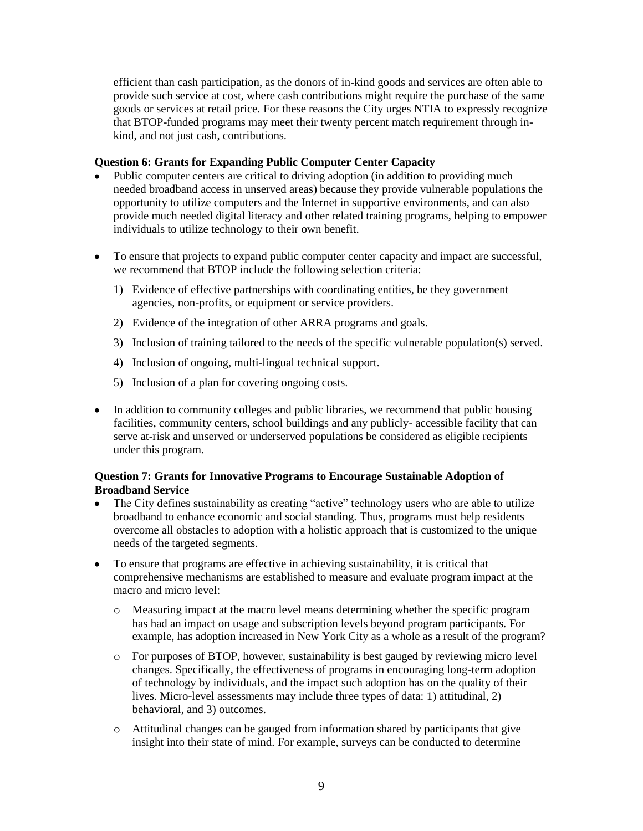efficient than cash participation, as the donors of in-kind goods and services are often able to provide such service at cost, where cash contributions might require the purchase of the same goods or services at retail price. For these reasons the City urges NTIA to expressly recognize that BTOP-funded programs may meet their twenty percent match requirement through inkind, and not just cash, contributions.

### **Question 6: Grants for Expanding Public Computer Center Capacity**

- Public computer centers are critical to driving adoption (in addition to providing much needed broadband access in unserved areas) because they provide vulnerable populations the opportunity to utilize computers and the Internet in supportive environments, and can also provide much needed digital literacy and other related training programs, helping to empower individuals to utilize technology to their own benefit.
- To ensure that projects to expand public computer center capacity and impact are successful, we recommend that BTOP include the following selection criteria:
	- 1) Evidence of effective partnerships with coordinating entities, be they government agencies, non-profits, or equipment or service providers.
	- 2) Evidence of the integration of other ARRA programs and goals.
	- 3) Inclusion of training tailored to the needs of the specific vulnerable population(s) served.
	- 4) Inclusion of ongoing, multi-lingual technical support.
	- 5) Inclusion of a plan for covering ongoing costs.
- In addition to community colleges and public libraries, we recommend that public housing facilities, community centers, school buildings and any publicly- accessible facility that can serve at-risk and unserved or underserved populations be considered as eligible recipients under this program.

### **Question 7: Grants for Innovative Programs to Encourage Sustainable Adoption of Broadband Service**

- The City defines sustainability as creating "active" technology users who are able to utilize  $\bullet$ broadband to enhance economic and social standing. Thus, programs must help residents overcome all obstacles to adoption with a holistic approach that is customized to the unique needs of the targeted segments.
- To ensure that programs are effective in achieving sustainability, it is critical that  $\bullet$ comprehensive mechanisms are established to measure and evaluate program impact at the macro and micro level:
	- o Measuring impact at the macro level means determining whether the specific program has had an impact on usage and subscription levels beyond program participants. For example, has adoption increased in New York City as a whole as a result of the program?
	- o For purposes of BTOP, however, sustainability is best gauged by reviewing micro level changes. Specifically, the effectiveness of programs in encouraging long-term adoption of technology by individuals, and the impact such adoption has on the quality of their lives. Micro-level assessments may include three types of data: 1) attitudinal, 2) behavioral, and 3) outcomes.
	- o Attitudinal changes can be gauged from information shared by participants that give insight into their state of mind. For example, surveys can be conducted to determine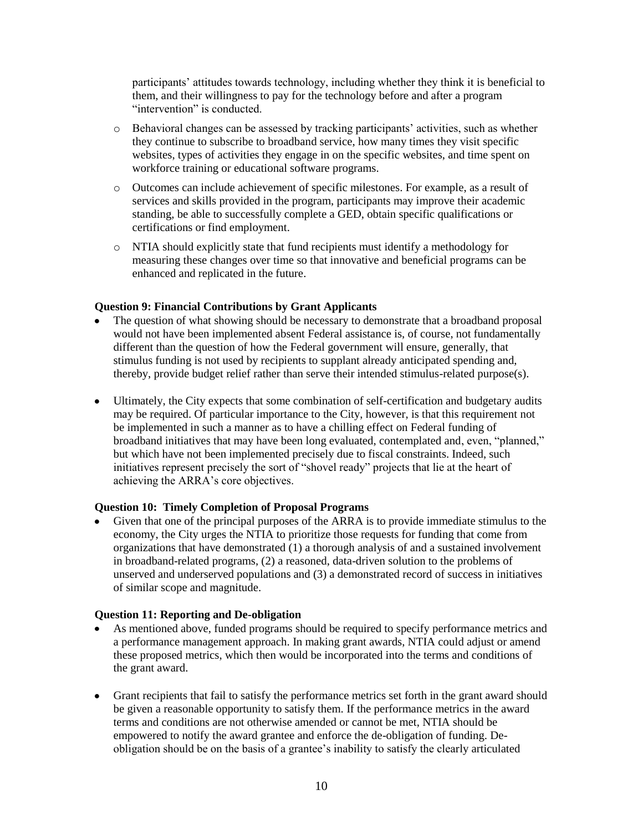participants' attitudes towards technology, including whether they think it is beneficial to them, and their willingness to pay for the technology before and after a program "intervention" is conducted.

- o Behavioral changes can be assessed by tracking participants' activities, such as whether they continue to subscribe to broadband service, how many times they visit specific websites, types of activities they engage in on the specific websites, and time spent on workforce training or educational software programs.
- o Outcomes can include achievement of specific milestones. For example, as a result of services and skills provided in the program, participants may improve their academic standing, be able to successfully complete a GED, obtain specific qualifications or certifications or find employment.
- o NTIA should explicitly state that fund recipients must identify a methodology for measuring these changes over time so that innovative and beneficial programs can be enhanced and replicated in the future.

### **Question 9: Financial Contributions by Grant Applicants**

- The question of what showing should be necessary to demonstrate that a broadband proposal would not have been implemented absent Federal assistance is, of course, not fundamentally different than the question of how the Federal government will ensure, generally, that stimulus funding is not used by recipients to supplant already anticipated spending and, thereby, provide budget relief rather than serve their intended stimulus-related purpose(s).
- Ultimately, the City expects that some combination of self-certification and budgetary audits  $\bullet$ may be required. Of particular importance to the City, however, is that this requirement not be implemented in such a manner as to have a chilling effect on Federal funding of broadband initiatives that may have been long evaluated, contemplated and, even, "planned," but which have not been implemented precisely due to fiscal constraints. Indeed, such initiatives represent precisely the sort of "shovel ready" projects that lie at the heart of achieving the ARRA's core objectives.

### **Question 10: Timely Completion of Proposal Programs**

Given that one of the principal purposes of the ARRA is to provide immediate stimulus to the economy, the City urges the NTIA to prioritize those requests for funding that come from organizations that have demonstrated (1) a thorough analysis of and a sustained involvement in broadband-related programs, (2) a reasoned, data-driven solution to the problems of unserved and underserved populations and (3) a demonstrated record of success in initiatives of similar scope and magnitude.

### **Question 11: Reporting and De-obligation**

- As mentioned above, funded programs should be required to specify performance metrics and a performance management approach. In making grant awards, NTIA could adjust or amend these proposed metrics, which then would be incorporated into the terms and conditions of the grant award.
- Grant recipients that fail to satisfy the performance metrics set forth in the grant award should be given a reasonable opportunity to satisfy them. If the performance metrics in the award terms and conditions are not otherwise amended or cannot be met, NTIA should be empowered to notify the award grantee and enforce the de-obligation of funding. Deobligation should be on the basis of a grantee's inability to satisfy the clearly articulated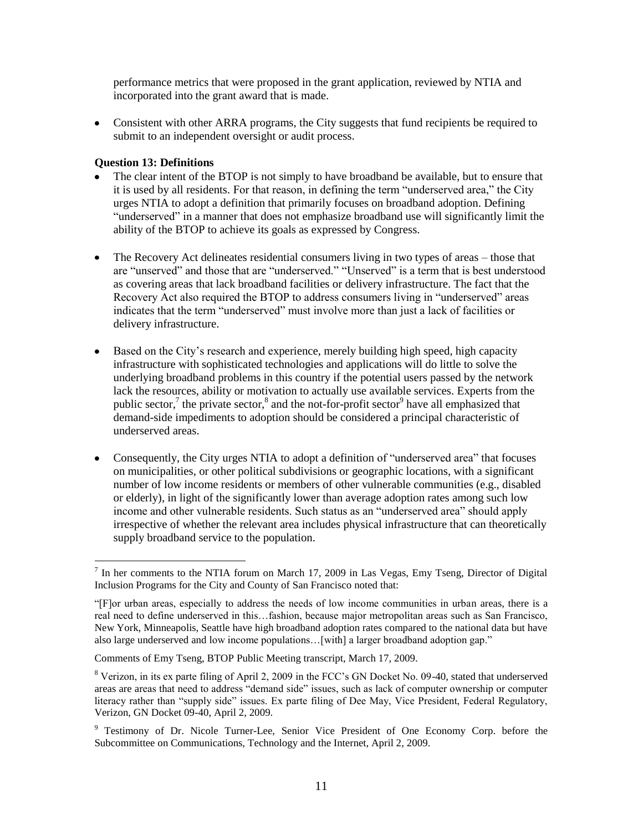performance metrics that were proposed in the grant application, reviewed by NTIA and incorporated into the grant award that is made.

Consistent with other ARRA programs, the City suggests that fund recipients be required to submit to an independent oversight or audit process.

### **Question 13: Definitions**

 $\overline{a}$ 

- The clear intent of the BTOP is not simply to have broadband be available, but to ensure that it is used by all residents. For that reason, in defining the term "underserved area," the City urges NTIA to adopt a definition that primarily focuses on broadband adoption. Defining "underserved" in a manner that does not emphasize broadband use will significantly limit the ability of the BTOP to achieve its goals as expressed by Congress.
- The Recovery Act delineates residential consumers living in two types of areas those that  $\bullet$ are "unserved" and those that are "underserved." "Unserved" is a term that is best understood as covering areas that lack broadband facilities or delivery infrastructure. The fact that the Recovery Act also required the BTOP to address consumers living in "underserved" areas indicates that the term "underserved" must involve more than just a lack of facilities or delivery infrastructure.
- $\bullet$ Based on the City's research and experience, merely building high speed, high capacity infrastructure with sophisticated technologies and applications will do little to solve the underlying broadband problems in this country if the potential users passed by the network lack the resources, ability or motivation to actually use available services. Experts from the public sector,<sup>7</sup> the private sector,<sup>8</sup> and the not-for-profit sector<sup>9</sup> have all emphasized that demand-side impediments to adoption should be considered a principal characteristic of underserved areas.
- Consequently, the City urges NTIA to adopt a definition of "underserved area" that focuses on municipalities, or other political subdivisions or geographic locations, with a significant number of low income residents or members of other vulnerable communities (e.g., disabled or elderly), in light of the significantly lower than average adoption rates among such low income and other vulnerable residents. Such status as an "underserved area" should apply irrespective of whether the relevant area includes physical infrastructure that can theoretically supply broadband service to the population.

 $<sup>7</sup>$  In her comments to the NTIA forum on March 17, 2009 in Las Vegas, Emy Tseng, Director of Digital</sup> Inclusion Programs for the City and County of San Francisco noted that:

<sup>―[</sup>F]or urban areas, especially to address the needs of low income communities in urban areas, there is a real need to define underserved in this…fashion, because major metropolitan areas such as San Francisco, New York, Minneapolis, Seattle have high broadband adoption rates compared to the national data but have also large underserved and low income populations... [with] a larger broadband adoption gap."

Comments of Emy Tseng, BTOP Public Meeting transcript, March 17, 2009.

<sup>&</sup>lt;sup>8</sup> Verizon, in its ex parte filing of April 2, 2009 in the FCC's GN Docket No. 09-40, stated that underserved areas are areas that need to address "demand side" issues, such as lack of computer ownership or computer literacy rather than "supply side" issues. Ex parte filing of Dee May, Vice President, Federal Regulatory, Verizon, GN Docket 09-40, April 2, 2009.

<sup>&</sup>lt;sup>9</sup> Testimony of Dr. Nicole Turner-Lee, Senior Vice President of One Economy Corp. before the Subcommittee on Communications, Technology and the Internet, April 2, 2009.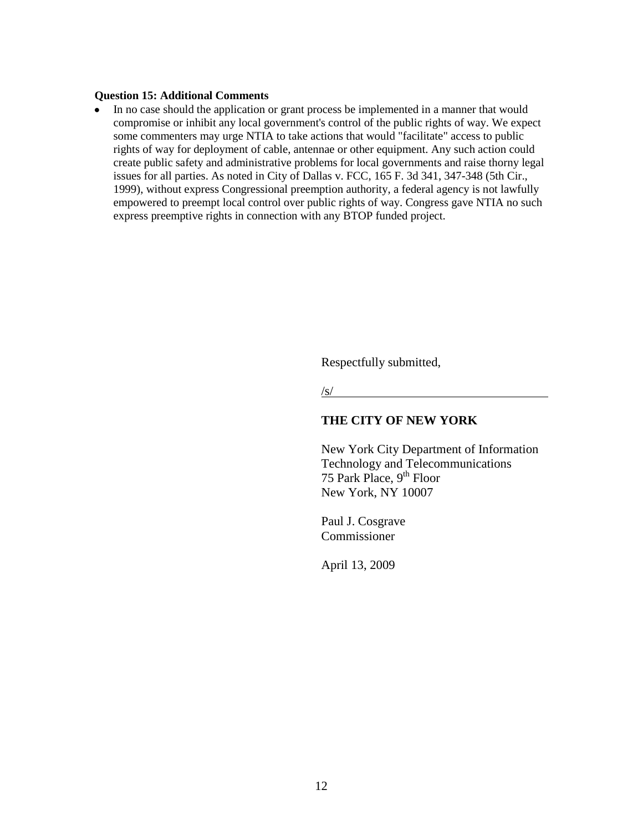### **Question 15: Additional Comments**

 $\bullet$ In no case should the application or grant process be implemented in a manner that would compromise or inhibit any local government's control of the public rights of way. We expect some commenters may urge NTIA to take actions that would "facilitate" access to public rights of way for deployment of cable, antennae or other equipment. Any such action could create public safety and administrative problems for local governments and raise thorny legal issues for all parties. As noted in City of Dallas v. FCC, 165 F. 3d 341, 347-348 (5th Cir., 1999), without express Congressional preemption authority, a federal agency is not lawfully empowered to preempt local control over public rights of way. Congress gave NTIA no such express preemptive rights in connection with any BTOP funded project.

Respectfully submitted,

/s/

### **THE CITY OF NEW YORK**

New York City Department of Information Technology and Telecommunications 75 Park Place,  $9<sup>th</sup>$  Floor New York, NY 10007

Paul J. Cosgrave Commissioner

April 13, 2009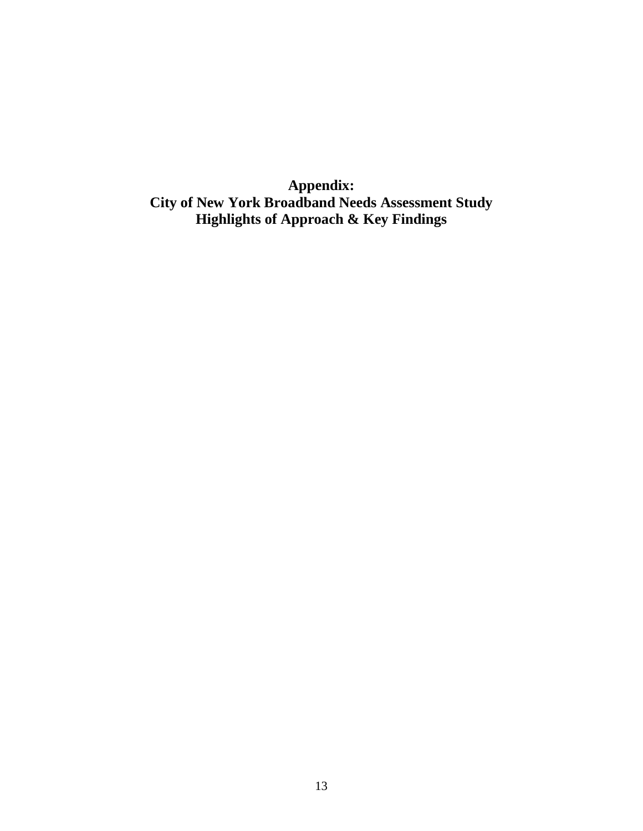**Appendix: City of New York Broadband Needs Assessment Study Highlights of Approach & Key Findings**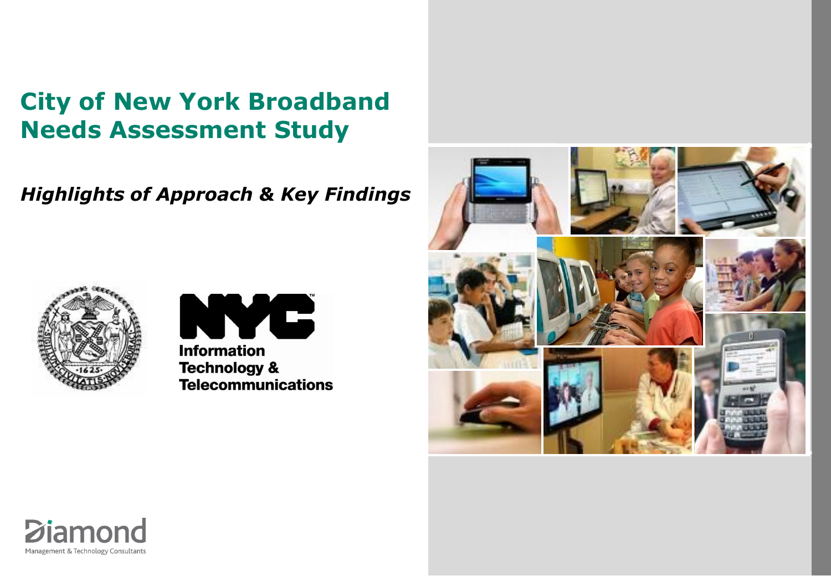# **City of New York Broadband Needs Assessment Study**

*Highlights of Approach & Key Findings*







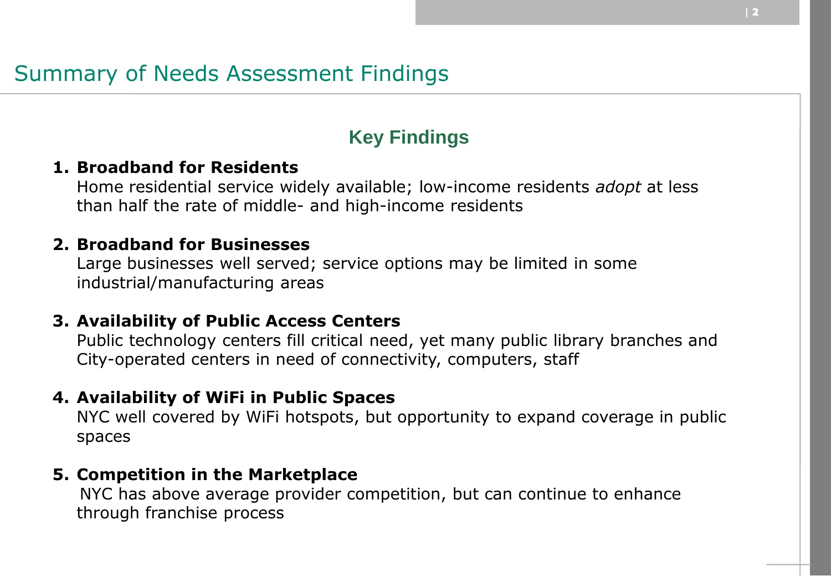# Summary of Needs Assessment Findings

## **Key Findings**

## **1. Broadband for Residents**

Home residential service widely available; low-income residents *adopt* at less than half the rate of middle- and high-income residents

## **2. Broadband for Businesses**

Large businesses well served; service options may be limited in some industrial/manufacturing areas

## **3. Availability of Public Access Centers**

Public technology centers fill critical need, yet many public library branches and City-operated centers in need of connectivity, computers, staff

## **4. Availability of WiFi in Public Spaces**

NYC well covered by WiFi hotspots, but opportunity to expand coverage in public spaces

## **5. Competition in the Marketplace**

NYC has above average provider competition, but can continue to enhance through franchise process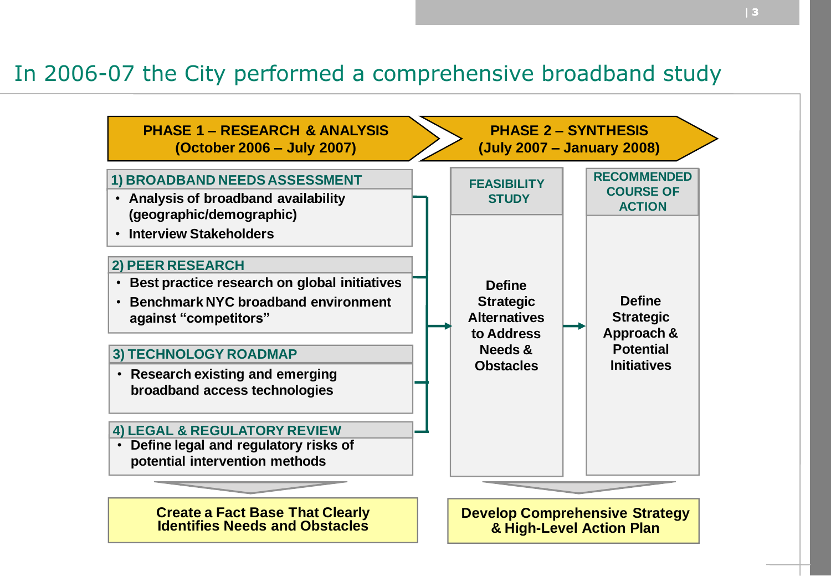## In 2006-07 the City performed a comprehensive broadband study

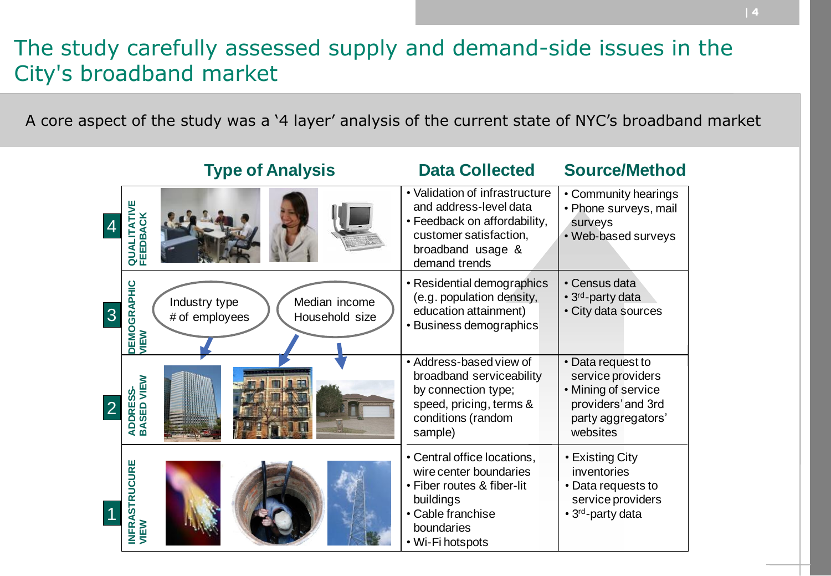# The study carefully assessed supply and demand-side issues in the City's broadband market

A core aspect of the study was a "4 layer" analysis of the current state of NYC"s broadband market

|   | <b>Type of Analysis</b>                                                                           | <b>Data Collected</b>                                                                                                                                    | <b>Source/Method</b>                                                                                                  |
|---|---------------------------------------------------------------------------------------------------|----------------------------------------------------------------------------------------------------------------------------------------------------------|-----------------------------------------------------------------------------------------------------------------------|
|   | š<br>EEDBA<br><b>UNUQ</b><br>匝                                                                    | • Validation of infrastructure<br>and address-level data<br>• Feedback on affordability,<br>customer satisfaction,<br>broadband usage &<br>demand trends | • Community hearings<br>• Phone surveys, mail<br>surveys<br>• Web-based surveys                                       |
| 3 | <b>DEMOGRAPHIC<br/>VIEW</b><br>Median income<br>Industry type<br># of employees<br>Household size | • Residential demographics<br>(e.g. population density,<br>education attainment)<br>• Business demographics                                              | • Census data<br>• 3 <sup>rd</sup> -party data<br>• City data sources                                                 |
|   | VIEW<br>ADDRESS-<br>BASED VIE'                                                                    | • Address-based view of<br>broadband serviceability<br>by connection type;<br>speed, pricing, terms &<br>conditions (random<br>sample)                   | • Data request to<br>service providers<br>• Mining of service<br>providers' and 3rd<br>party aggregators'<br>websites |
|   | <b>INFRASTRUCURE<br/>VIEW</b>                                                                     | • Central office locations,<br>wire center boundaries<br>• Fiber routes & fiber-lit<br>buildings<br>• Cable franchise<br>boundaries<br>• Wi-Fi hotspots  | • Existing City<br>inventories<br>• Data requests to<br>service providers<br>• 3 <sup>rd</sup> -party data            |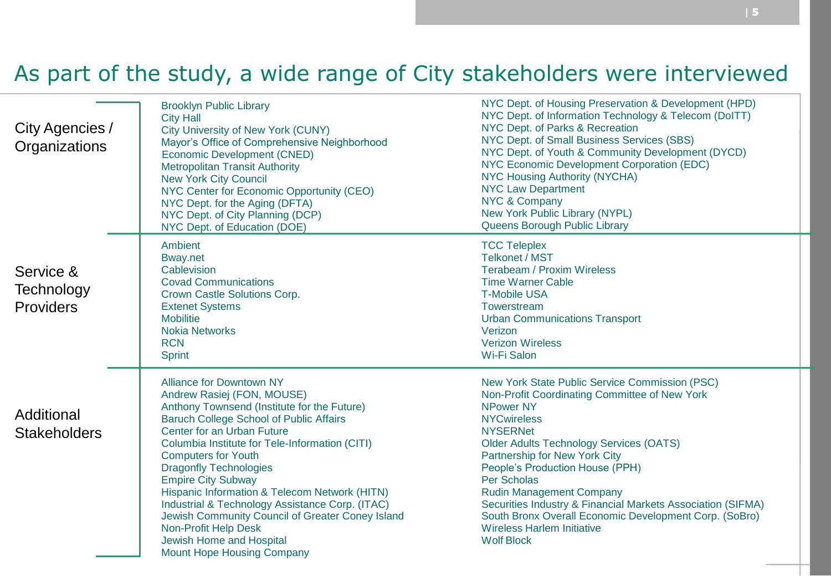# As part of the study, a wide range of City stakeholders were interviewed

| City Agencies /<br>Organizations     | <b>Brooklyn Public Library</b><br><b>City Hall</b><br>City University of New York (CUNY)<br>Mayor's Office of Comprehensive Neighborhood<br>Economic Development (CNED)<br><b>Metropolitan Transit Authority</b><br><b>New York City Council</b><br>NYC Center for Economic Opportunity (CEO)<br>NYC Dept. for the Aging (DFTA)<br>NYC Dept. of City Planning (DCP)<br>NYC Dept. of Education (DOE)                                                                                                                                                                                         | NYC Dept. of Housing Preservation & Development (HPD)<br>NYC Dept. of Information Technology & Telecom (DoITT)<br>NYC Dept. of Parks & Recreation<br>NYC Dept. of Small Business Services (SBS)<br>NYC Dept. of Youth & Community Development (DYCD)<br>NYC Economic Development Corporation (EDC)<br><b>NYC Housing Authority (NYCHA)</b><br><b>NYC Law Department</b><br>NYC & Company<br>New York Public Library (NYPL)<br>Queens Borough Public Library                                                             |
|--------------------------------------|---------------------------------------------------------------------------------------------------------------------------------------------------------------------------------------------------------------------------------------------------------------------------------------------------------------------------------------------------------------------------------------------------------------------------------------------------------------------------------------------------------------------------------------------------------------------------------------------|-------------------------------------------------------------------------------------------------------------------------------------------------------------------------------------------------------------------------------------------------------------------------------------------------------------------------------------------------------------------------------------------------------------------------------------------------------------------------------------------------------------------------|
| Service &<br>Technology<br>Providers | Ambient<br><b>Bway.net</b><br>Cablevision<br><b>Covad Communications</b><br>Crown Castle Solutions Corp.<br><b>Extenet Systems</b><br><b>Mobilitie</b><br><b>Nokia Networks</b><br><b>RCN</b><br><b>Sprint</b>                                                                                                                                                                                                                                                                                                                                                                              | <b>TCC Teleplex</b><br><b>Telkonet / MST</b><br><b>Terabeam / Proxim Wireless</b><br><b>Time Warner Cable</b><br><b>T-Mobile USA</b><br>Towerstream<br><b>Urban Communications Transport</b><br>Verizon<br><b>Verizon Wireless</b><br>Wi-Fi Salon                                                                                                                                                                                                                                                                       |
| Additional<br><b>Stakeholders</b>    | <b>Alliance for Downtown NY</b><br>Andrew Rasiej (FON, MOUSE)<br>Anthony Townsend (Institute for the Future)<br><b>Baruch College School of Public Affairs</b><br>Center for an Urban Future<br>Columbia Institute for Tele-Information (CITI)<br><b>Computers for Youth</b><br><b>Dragonfly Technologies</b><br><b>Empire City Subway</b><br>Hispanic Information & Telecom Network (HITN)<br>Industrial & Technology Assistance Corp. (ITAC)<br>Jewish Community Council of Greater Coney Island<br>Non-Profit Help Desk<br>Jewish Home and Hospital<br><b>Mount Hope Housing Company</b> | New York State Public Service Commission (PSC)<br>Non-Profit Coordinating Committee of New York<br><b>NPower NY</b><br><b>NYCwireless</b><br><b>NYSERNet</b><br><b>Older Adults Technology Services (OATS)</b><br>Partnership for New York City<br>People's Production House (PPH)<br>Per Scholas<br><b>Rudin Management Company</b><br>Securities Industry & Financial Markets Association (SIFMA)<br>South Bronx Overall Economic Development Corp. (SoBro)<br><b>Wireless Harlem Initiative</b><br><b>Wolf Block</b> |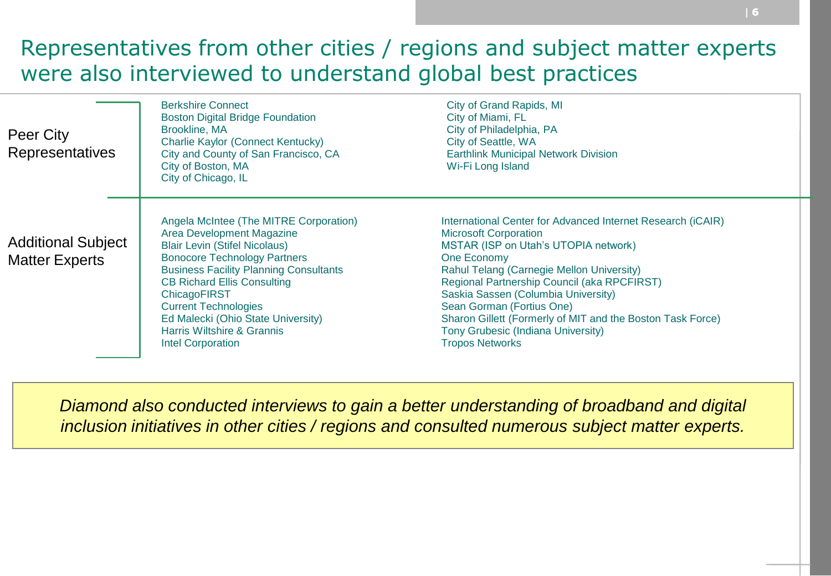# Representatives from other cities / regions and subject matter experts were also interviewed to understand global best practices

| Peer City<br><b>Representatives</b>                | <b>Berkshire Connect</b><br><b>Boston Digital Bridge Foundation</b><br>Brookline, MA<br>Charlie Kaylor (Connect Kentucky)<br>City and County of San Francisco, CA<br>City of Boston, MA<br>City of Chicago, IL                                                                                                                                                                           | City of Grand Rapids, MI<br>City of Miami, FL<br>City of Philadelphia, PA<br>City of Seattle, WA<br><b>Earthlink Municipal Network Division</b><br>Wi-Fi Long Island                                                                                                                                                                                                                                                                             |
|----------------------------------------------------|------------------------------------------------------------------------------------------------------------------------------------------------------------------------------------------------------------------------------------------------------------------------------------------------------------------------------------------------------------------------------------------|--------------------------------------------------------------------------------------------------------------------------------------------------------------------------------------------------------------------------------------------------------------------------------------------------------------------------------------------------------------------------------------------------------------------------------------------------|
| <b>Additional Subject</b><br><b>Matter Experts</b> | Angela McIntee (The MITRE Corporation)<br>Area Development Magazine<br><b>Blair Levin (Stifel Nicolaus)</b><br><b>Bonocore Technology Partners</b><br><b>Business Facility Planning Consultants</b><br><b>CB Richard Ellis Consulting</b><br>ChicagoFIRST<br><b>Current Technologies</b><br>Ed Malecki (Ohio State University)<br>Harris Wiltshire & Grannis<br><b>Intel Corporation</b> | International Center for Advanced Internet Research (iCAIR)<br><b>Microsoft Corporation</b><br>MSTAR (ISP on Utah's UTOPIA network)<br>One Economy<br>Rahul Telang (Carnegie Mellon University)<br>Regional Partnership Council (aka RPCFIRST)<br>Saskia Sassen (Columbia University)<br>Sean Gorman (Fortius One)<br>Sharon Gillett (Formerly of MIT and the Boston Task Force)<br>Tony Grubesic (Indiana University)<br><b>Tropos Networks</b> |

*Diamond also conducted interviews to gain a better understanding of broadband and digital inclusion initiatives in other cities / regions and consulted numerous subject matter experts.*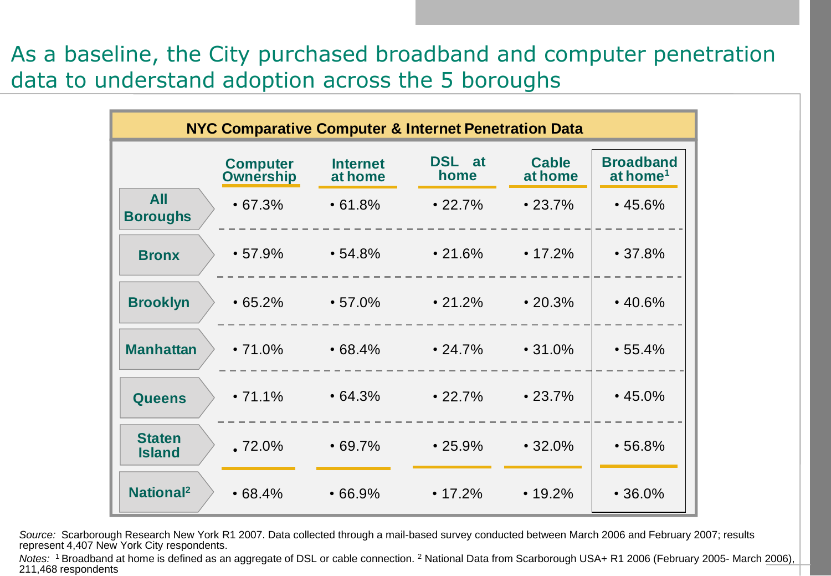As a baseline, the City purchased broadband and computer penetration data to understand adoption across the 5 boroughs

|                                | <b>NYC Comparative Computer &amp; Internet Penetration Data</b> |                            |                |                         |                                          |  |  |  |
|--------------------------------|-----------------------------------------------------------------|----------------------------|----------------|-------------------------|------------------------------------------|--|--|--|
|                                | <b>Computer</b><br><b>Ownership</b>                             | <b>Internet</b><br>at home | DSL at<br>home | <b>Cable</b><br>at home | <b>Broadband</b><br>at home <sup>1</sup> |  |  |  |
| <b>All</b><br><b>Boroughs</b>  | $\cdot 67.3\%$                                                  | •61.8%                     | $\cdot$ 22.7%  | $\cdot$ 23.7%           | $\cdot$ 45.6%                            |  |  |  |
| <b>Bronx</b>                   | •57.9%                                                          | $\cdot$ 54.8%              | $\cdot$ 21.6%  | $\cdot$ 17.2%           | •37.8%                                   |  |  |  |
| <b>Brooklyn</b>                | •65.2%                                                          | $\cdot$ 57.0%              | $\cdot$ 21.2%  | $\cdot$ 20.3%           | $\cdot$ 40.6%                            |  |  |  |
| <b>Manhattan</b>               | $\cdot$ 71.0%                                                   | $\cdot$ 68.4%              | $\cdot$ 24.7%  | $\cdot$ 31.0%           | •55.4%                                   |  |  |  |
| <b>Queens</b>                  | $\cdot$ 71.1%                                                   | $\cdot$ 64.3%              | $\cdot$ 22.7%  | $\cdot$ 23.7%           | $\cdot$ 45.0%                            |  |  |  |
| <b>Staten</b><br><b>Island</b> | $.72.0\%$                                                       | $\cdot$ 69.7%              | $\cdot$ 25.9%  | $\cdot$ 32.0%           | •56.8%                                   |  |  |  |
| <b>National<sup>2</sup></b>    | •68.4%                                                          | •66.9%                     | $\cdot$ 17.2%  | $\cdot$ 19.2%           | $\cdot$ 36.0%                            |  |  |  |

*Source:* Scarborough Research New York R1 2007. Data collected through a mail-based survey conducted between March 2006 and February 2007; results represent 4,407 New York City respondents.

*Notes:* <sup>1</sup>Broadband at home is defined as an aggregate of DSL or cable connection. <sup>2</sup> National Data from Scarborough USA+ R1 2006 (February 2005- March 2006), 211,468 respondents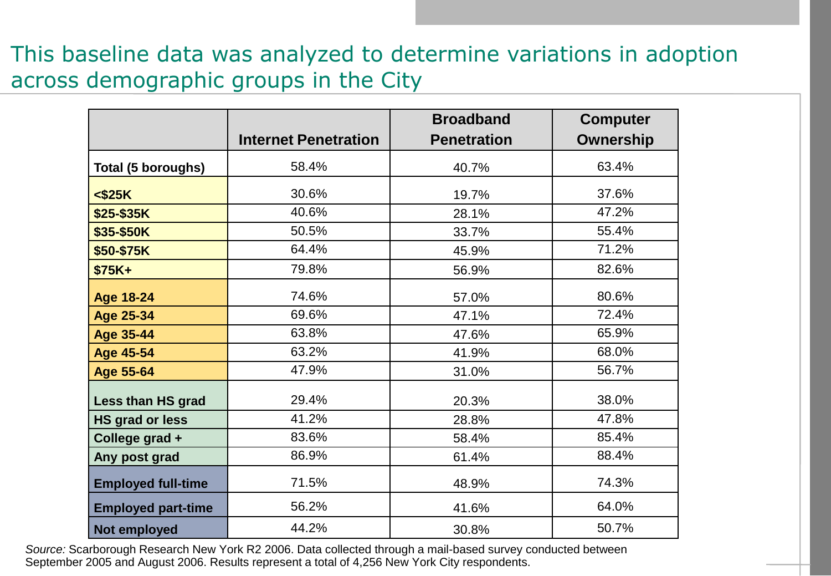## This baseline data was analyzed to determine variations in adoption across demographic groups in the City

|                           |                             | <b>Broadband</b>   | <b>Computer</b>  |
|---------------------------|-----------------------------|--------------------|------------------|
|                           | <b>Internet Penetration</b> | <b>Penetration</b> | <b>Ownership</b> |
| Total (5 boroughs)        | 58.4%                       | 40.7%              | 63.4%            |
| $<$ \$25K                 | 30.6%                       | 19.7%              | 37.6%            |
| \$25-\$35K                | 40.6%                       | 28.1%              | 47.2%            |
| \$35-\$50K                | 50.5%                       | 33.7%              | 55.4%            |
| \$50-\$75K                | 64.4%                       | 45.9%              | 71.2%            |
| $$75K+$                   | 79.8%                       | 56.9%              | 82.6%            |
| <b>Age 18-24</b>          | 74.6%                       | 57.0%              | 80.6%            |
| <b>Age 25-34</b>          | 69.6%                       | 47.1%              | 72.4%            |
| <b>Age 35-44</b>          | 63.8%                       | 47.6%              | 65.9%            |
| <b>Age 45-54</b>          | 63.2%                       | 41.9%              | 68.0%            |
| Age 55-64                 | 47.9%                       | 31.0%              | 56.7%            |
| Less than HS grad         | 29.4%                       | 20.3%              | 38.0%            |
| HS grad or less           | 41.2%                       | 28.8%              | 47.8%            |
| College grad +            | 83.6%                       | 58.4%              | 85.4%            |
| Any post grad             | 86.9%                       | 61.4%              | 88.4%            |
| <b>Employed full-time</b> | 71.5%                       | 48.9%              | 74.3%            |
| <b>Employed part-time</b> | 56.2%                       | 41.6%              | 64.0%            |
| Not employed              | 44.2%                       | 30.8%              | 50.7%            |

*Source:* Scarborough Research New York R2 2006. Data collected through a mail-based survey conducted between September 2005 and August 2006. Results represent a total of 4,256 New York City respondents.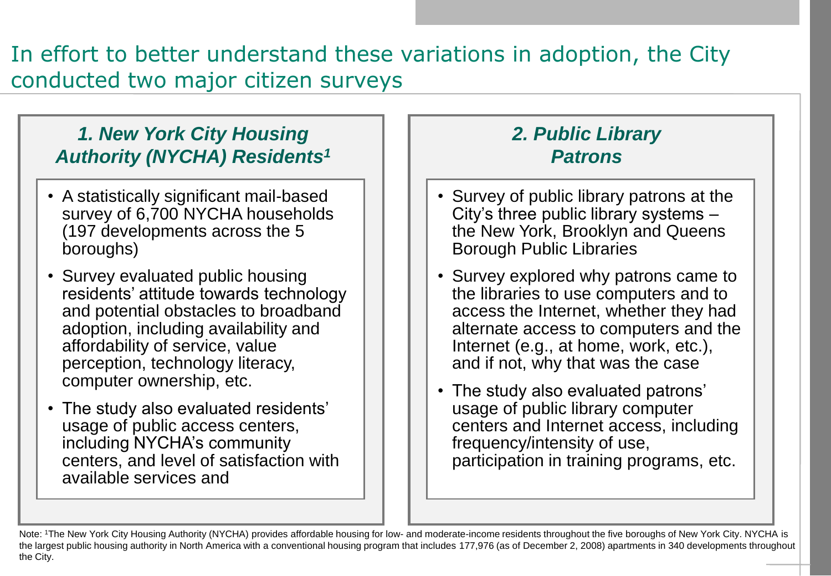# In effort to better understand these variations in adoption, the City conducted two major citizen surveys

## *1. New York City Housing Authority (NYCHA) Residents<sup>1</sup>*

- A statistically significant mail-based survey of 6,700 NYCHA households (197 developments across the 5 boroughs)
- Survey evaluated public housing residents' attitude towards technology and potential obstacles to broadband adoption, including availability and affordability of service, value perception, technology literacy, computer ownership, etc.
- The study also evaluated residents' usage of public access centers, including NYCHA's community centers, and level of satisfaction with available services and

## *2. Public Library Patrons*

- Survey of public library patrons at the City's three public library systems – the New York, Brooklyn and Queens Borough Public Libraries
- Survey explored why patrons came to the libraries to use computers and to access the Internet, whether they had alternate access to computers and the Internet (e.g., at home, work, etc.), and if not, why that was the case
- The study also evaluated patrons' usage of public library computer centers and Internet access, including frequency/intensity of use, participation in training programs, etc.

Note: 1The New York City Housing Authority (NYCHA) provides affordable housing for low- and moderate-income residents throughout the five boroughs of New York City. NYCHA is the largest public housing authority in North America with a conventional housing program that includes 177,976 (as of December 2, 2008) apartments in 340 developments throughout the City.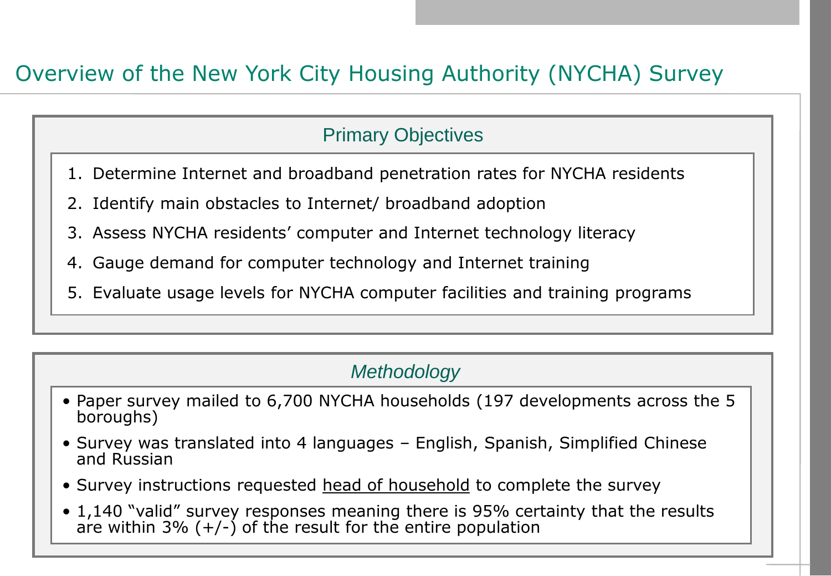# Overview of the New York City Housing Authority (NYCHA) Survey

## Primary Objectives

- 1. Determine Internet and broadband penetration rates for NYCHA residents
- 2. Identify main obstacles to Internet/ broadband adoption
- 3. Assess NYCHA residents" computer and Internet technology literacy
- 4. Gauge demand for computer technology and Internet training
- 5. Evaluate usage levels for NYCHA computer facilities and training programs

## *Methodology*

- Paper survey mailed to 6,700 NYCHA households (197 developments across the 5 boroughs)
- Survey was translated into 4 languages English, Spanish, Simplified Chinese and Russian
- Survey instructions requested head of household to complete the survey
- 1,140 "valid" survey responses meaning there is 95% certainty that the results are within 3%  $(+/-)$  of the result for the entire population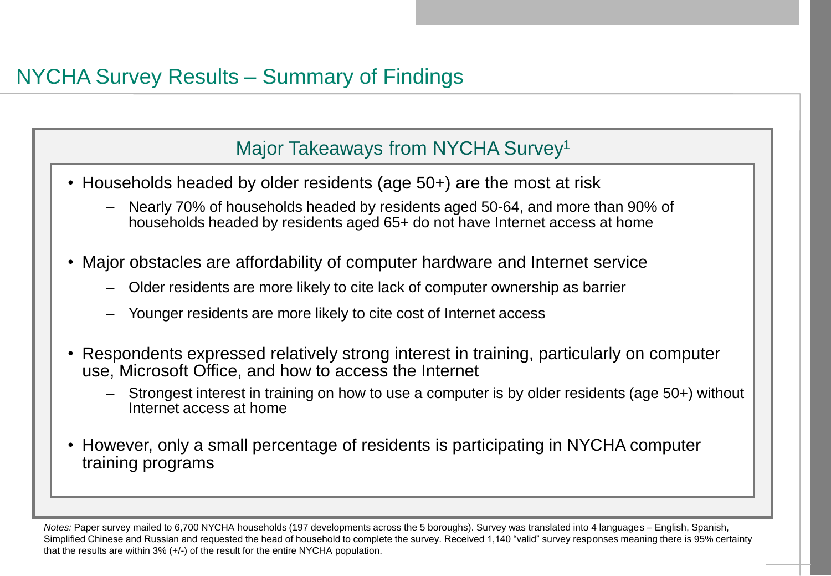## Major Takeaways from NYCHA Survey<sup>1</sup>

- Households headed by older residents (age 50+) are the most at risk
	- Nearly 70% of households headed by residents aged 50-64, and more than 90% of households headed by residents aged 65+ do not have Internet access at home
- Major obstacles are affordability of computer hardware and Internet service
	- Older residents are more likely to cite lack of computer ownership as barrier
	- Younger residents are more likely to cite cost of Internet access
- Respondents expressed relatively strong interest in training, particularly on computer use, Microsoft Office, and how to access the Internet
	- Strongest interest in training on how to use a computer is by older residents (age 50+) without Internet access at home
- However, only a small percentage of residents is participating in NYCHA computer training programs

*Notes:* Paper survey mailed to 6,700 NYCHA households (197 developments across the 5 boroughs). Survey was translated into 4 languages – English, Spanish, Simplified Chinese and Russian and requested the head of household to complete the survey. Received 1,140 "valid" survey responses meaning there is 95% certainty that the results are within  $3\%$  (+/-) of the result for the entire NYCHA population.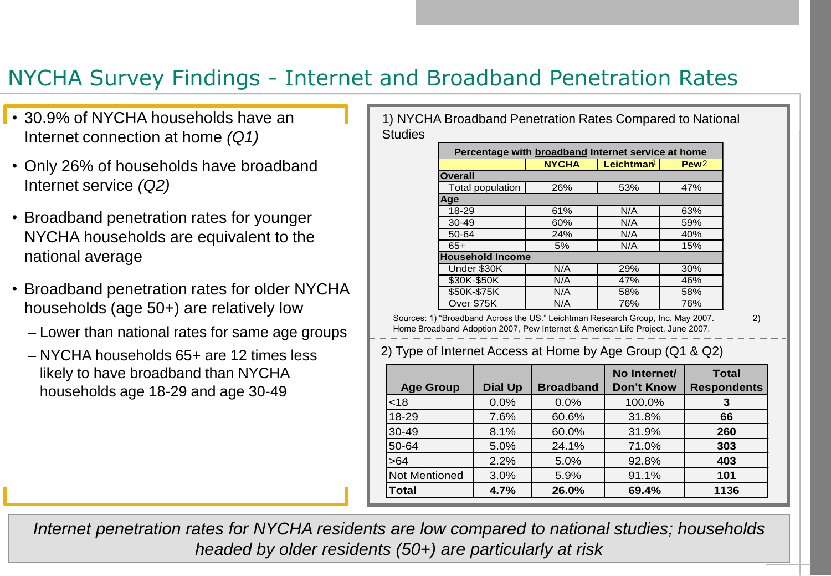# NYCHA Survey Findings - Internet and Broadband Penetration Rates

- 30.9% of NYCHA households have an Internet connection at home *(Q1)*
- Only 26% of households have broadband Internet service *(Q2)*
- Broadband penetration rates for younger NYCHA households are equivalent to the national average
- Broadband penetration rates for older NYCHA households (age 50+) are relatively low
	- Lower than national rates for same age groups
	- NYCHA households 65+ are 12 times less likely to have broadband than NYCHA households age 18-29 and age 30-49

1) NYCHA Broadband Penetration Rates Compared to National **Studies** 

|                         | <b>NYCHA</b> | Leichtman | Pew <sub>2</sub> |
|-------------------------|--------------|-----------|------------------|
| <b>Overall</b>          |              |           |                  |
| Total population        | 26%          | 53%       | 47%              |
| Aqe                     |              |           |                  |
| 18-29                   | 61%          | N/A       | 63%              |
| $30-49$                 | 60%          | N/A       | 59%              |
| 50-64                   | 24%          | N/A       | 40%              |
| 65+                     | 5%           | N/A       | 15%              |
| <b>Household Income</b> |              |           |                  |
| Under \$30K             | N/A          | 29%       | 30%              |
| \$30K-\$50K             | N/A          | 47%       | 46%              |
| \$50K-\$75K             | N/A          | 58%       | 58%              |
| Over \$75K              | N/A          | 76%       | 76%              |

Sources: 1) "Broadband Across the US." Leichtman Research Group, Inc. May 2007. 2) Home Broadband Adoption 2007, Pew Internet & American Life Project, June 2007.

## 2) Type of Internet Access at Home by Age Group (Q1 & Q2)

| <b>Age Group</b>     | <b>Dial Up</b> | <b>Broadband</b> | No Internet/<br><b>Don't Know</b> | <b>Total</b><br><b>Respondents</b> |
|----------------------|----------------|------------------|-----------------------------------|------------------------------------|
| < 18                 | 0.0%           | 0.0%             | 100.0%                            | 3                                  |
| 18-29                | 7.6%           | 60.6%            | 31.8%                             | 66                                 |
| $30 - 49$            | 8.1%           | 60.0%            | 31.9%                             | 260                                |
| 50-64                | 5.0%           | 24.1%            | 71.0%                             | 303                                |
| $>64$                | 2.2%           | 5.0%             | 92.8%                             | 403                                |
| <b>Not Mentioned</b> | 3.0%           | 5.9%             | 91.1%                             | 101                                |
| <b>Total</b>         | 4.7%           | 26.0%            | 69.4%                             | 1136                               |

*Internet penetration rates for NYCHA residents are low compared to national studies; households headed by older residents (50+) are particularly at risk*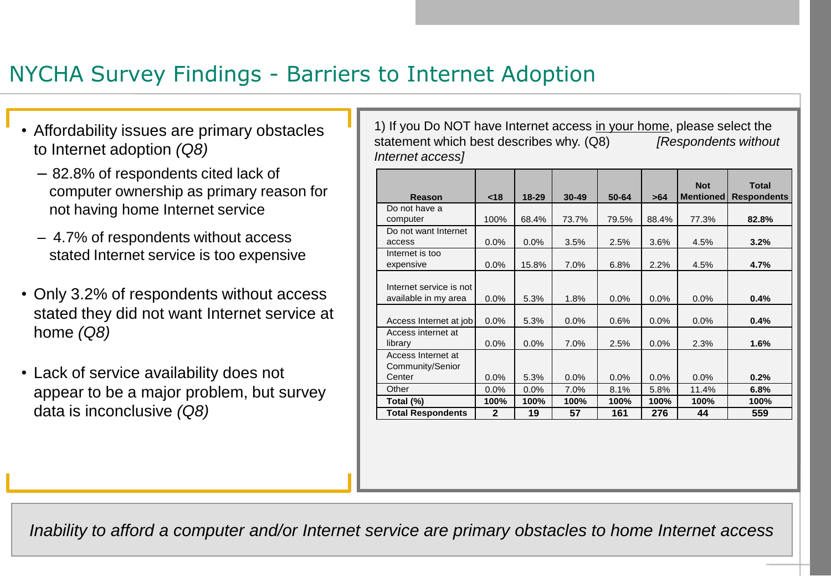# NYCHA Survey Findings - Barriers to Internet Adoption

- Affordability issues are primary obstacles to Internet adoption *(Q8)*
	- 82.8% of respondents cited lack of computer ownership as primary reason for not having home Internet service
	- 4.7% of respondents without access stated Internet service is too expensive
- Only 3.2% of respondents without access stated they did not want Internet service at home *(Q8)*
- Lack of service availability does not appear to be a major problem, but survey data is inconclusive *(Q8)*

1) If you Do NOT have Internet access in your home, please select the statement which best describes why. (Q8) *[Respondents without Internet access]*

|                          |              |           |           |         |       | <b>Not</b>       | Total              |
|--------------------------|--------------|-----------|-----------|---------|-------|------------------|--------------------|
| Reason                   | < 18         | $18 - 29$ | $30 - 49$ | 50-64   | >64   | <b>Mentioned</b> | <b>Respondents</b> |
| Do not have a            |              |           |           |         |       |                  |                    |
| computer                 | 100%         | 68.4%     | 73.7%     | 79.5%   | 88.4% | 77.3%            | 82.8%              |
| Do not want Internet     |              |           |           |         |       |                  |                    |
| access                   | $0.0\%$      | $0.0\%$   | 3.5%      | 2.5%    | 3.6%  | 4.5%             | 3.2%               |
| Internet is too          |              |           |           |         |       |                  |                    |
| expensive                | 0.0%         | 15.8%     | 7.0%      | 6.8%    | 2.2%  | 4.5%             | 4.7%               |
|                          |              |           |           |         |       |                  |                    |
| Internet service is not  |              |           |           |         |       |                  |                    |
| available in my area     | 0.0%         | 5.3%      | 1.8%      | $0.0\%$ | 0.0%  | 0.0%             | 0.4%               |
|                          |              |           |           |         |       |                  |                    |
| Access Internet at job   | 0.0%         | 5.3%      | 0.0%      | 0.6%    | 0.0%  | 0.0%             | 0.4%               |
| Access internet at       |              |           |           |         |       |                  |                    |
| library                  | 0.0%         | 0.0%      | 7.0%      | 2.5%    | 0.0%  | 2.3%             | 1.6%               |
| Access Internet at       |              |           |           |         |       |                  |                    |
| Community/Senior         |              |           |           |         |       |                  |                    |
| Center                   | 0.0%         | 5.3%      | $0.0\%$   | $0.0\%$ | 0.0%  | 0.0%             | 0.2%               |
| Other                    | 0.0%         | 0.0%      | 7.0%      | 8.1%    | 5.8%  | 11.4%            | 6.8%               |
| Total (%)                | 100%         | 100%      | 100%      | 100%    | 100%  | 100%             | 100%               |
| <b>Total Respondents</b> | $\mathbf{2}$ | 19        | 57        | 161     | 276   | 44               | 559                |
|                          |              |           |           |         |       |                  |                    |

*Inability to afford a computer and/or Internet service are primary obstacles to home Internet access*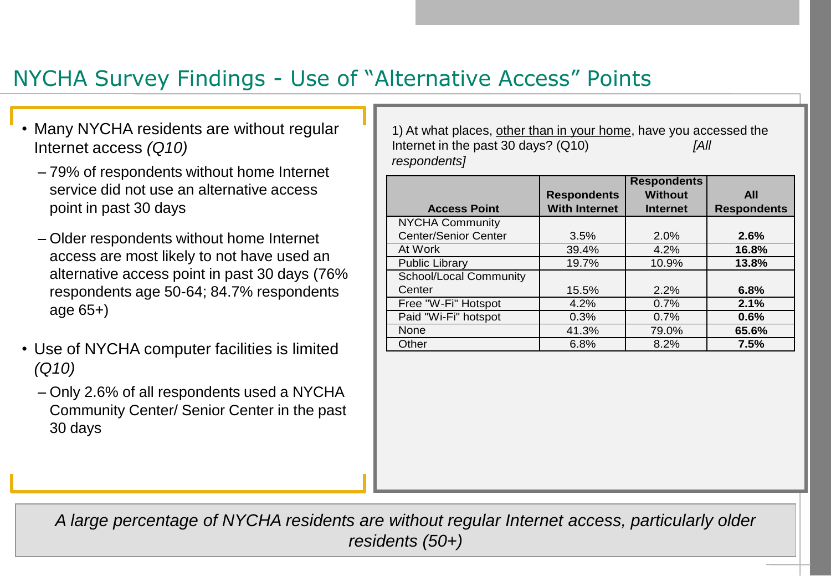# NYCHA Survey Findings - Use of "Alternative Access" Points

- Many NYCHA residents are without regular Internet access *(Q10)*
	- 79% of respondents without home Internet service did not use an alternative access point in past 30 days
	- Older respondents without home Internet access are most likely to not have used an alternative access point in past 30 days (76% respondents age 50-64; 84.7% respondents age 65+)
- Use of NYCHA computer facilities is limited *(Q10)*
	- Only 2.6% of all respondents used a NYCHA Community Center/ Senior Center in the past 30 days

1) At what places, other than in your home, have you accessed the Internet in the past 30 days? (Q10) *[All respondents]*

|                             |                      | <b>Respondents</b> |                    |
|-----------------------------|----------------------|--------------------|--------------------|
|                             | <b>Respondents</b>   | <b>Without</b>     | <b>All</b>         |
| <b>Access Point</b>         | <b>With Internet</b> | <b>Internet</b>    | <b>Respondents</b> |
| <b>NYCHA Community</b>      |                      |                    |                    |
| <b>Center/Senior Center</b> | 3.5%                 | 2.0%               | 2.6%               |
| At Work                     | 39.4%                | 4.2%               | 16.8%              |
| <b>Public Library</b>       | 19.7%                | 10.9%              | 13.8%              |
| School/Local Community      |                      |                    |                    |
| Center                      | 15.5%                | 2.2%               | 6.8%               |
| Free "W-Fi" Hotspot         | 4.2%                 | 0.7%               | 2.1%               |
| Paid "Wi-Fi" hotspot        | 0.3%                 | 0.7%               | 0.6%               |
| None                        | 41.3%                | 79.0%              | 65.6%              |
| Other                       | 6.8%                 | 8.2%               | 7.5%               |

*A large percentage of NYCHA residents are without regular Internet access, particularly older residents (50+)*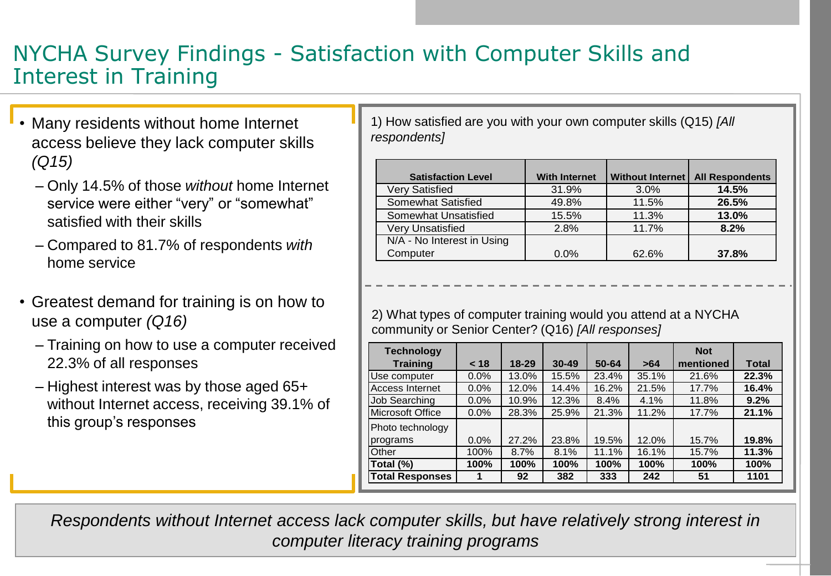## NYCHA Survey Findings - Satisfaction with Computer Skills and Interest in Training

- Many residents without home Internet access believe they lack computer skills *(Q15)*
	- Only 14.5% of those *without* home Internet service were either "very" or "somewhat" satisfied with their skills
	- Compared to 81.7% of respondents *with* home service
- Greatest demand for training is on how to use a computer *(Q16)*
	- Training on how to use a computer received 22.3% of all responses
	- Highest interest was by those aged 65+ without Internet access, receiving 39.1% of this group's responses

1) How satisfied are you with your own computer skills (Q15) *[All respondents]*

| <b>Satisfaction Level</b>  | <b>With Internet</b> | Without Internet I | <b>All Respondents</b> |
|----------------------------|----------------------|--------------------|------------------------|
| Very Satisfied             | 31.9%                | 3.0%               | 14.5%                  |
| Somewhat Satisfied         | 49.8%                | 11.5%              | 26.5%                  |
| Somewhat Unsatisfied       | 15.5%                | 11.3%              | 13.0%                  |
| Very Unsatisfied           | 2.8%                 | 11.7%              | 8.2%                   |
| N/A - No Interest in Using |                      |                    |                        |
| Computer                   | $0.0\%$              | 62.6%              | 37.8%                  |

2) What types of computer training would you attend at a NYCHA community or Senior Center? (Q16) *[All responses]*

| <b>Technology</b>      |         |           |           |       |       | <b>Not</b> |       |
|------------------------|---------|-----------|-----------|-------|-------|------------|-------|
| <b>Training</b>        | < 18    | $18 - 29$ | $30 - 49$ | 50-64 | >64   | mentioned  | Total |
| Use computer           | 0.0%    | 13.0%     | 15.5%     | 23.4% | 35.1% | 21.6%      | 22.3% |
| Access Internet        | $0.0\%$ | 12.0%     | 14.4%     | 16.2% | 21.5% | 17.7%      | 16.4% |
| Job Searching          | 0.0%    | 10.9%     | 12.3%     | 8.4%  | 4.1%  | 11.8%      | 9.2%  |
| Microsoft Office       | 0.0%    | 28.3%     | 25.9%     | 21.3% | 11.2% | 17.7%      | 21.1% |
| Photo technology       |         |           |           |       |       |            |       |
| programs               | 0.0%    | 27.2%     | 23.8%     | 19.5% | 12.0% | 15.7%      | 19.8% |
| Other                  | 100%    | 8.7%      | 8.1%      | 11.1% | 16.1% | 15.7%      | 11.3% |
| Total (%)              | 100%    | 100%      | 100%      | 100%  | 100%  | 100%       | 100%  |
| <b>Total Responses</b> |         | 92        | 382       | 333   | 242   | 51         | 1101  |
|                        |         |           |           |       |       |            |       |

*Respondents without Internet access lack computer skills, but have relatively strong interest in computer literacy training programs*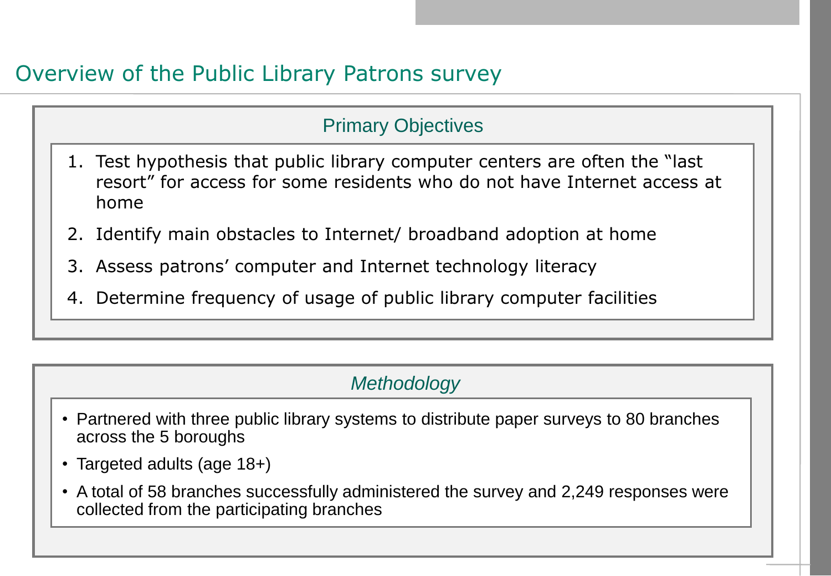# Overview of the Public Library Patrons survey

## Primary Objectives

- 1. Test hypothesis that public library computer centers are often the "last resort" for access for some residents who do not have Internet access at home
- 2. Identify main obstacles to Internet/ broadband adoption at home
- 3. Assess patrons" computer and Internet technology literacy
- 4. Determine frequency of usage of public library computer facilities

## *Methodology*

- Partnered with three public library systems to distribute paper surveys to 80 branches across the 5 boroughs
- Targeted adults (age 18+)
- A total of 58 branches successfully administered the survey and 2,249 responses were collected from the participating branches